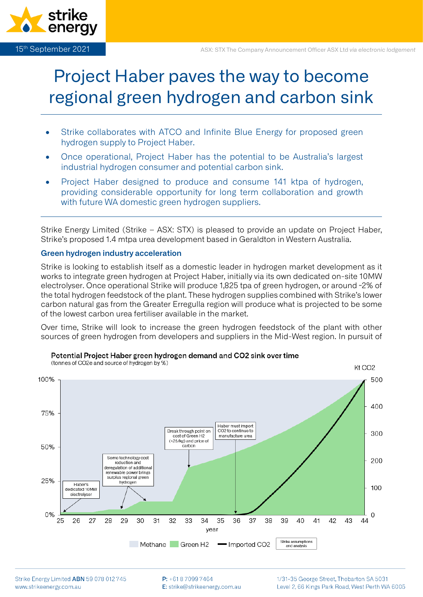

# Project Haber paves the way to become regional green hydrogen and carbon sink

- Strike collaborates with ATCO and Infinite Blue Energy for proposed green hydrogen supply to Project Haber.
- Once operational, Project Haber has the potential to be Australia's largest industrial hydrogen consumer and potential carbon sink.
- Project Haber designed to produce and consume 141 ktpa of hydrogen, providing considerable opportunity for long term collaboration and growth with future WA domestic green hydrogen suppliers.

Strike Energy Limited (Strike – ASX: STX) is pleased to provide an update on Project Haber, Strike's proposed 1.4 mtpa urea development based in Geraldton in Western Australia.

# **Green hydrogen industry acceleration**

Strike is looking to establish itself as a domestic leader in hydrogen market development as it works to integrate green hydrogen at Project Haber, initially via its own dedicated on-site 10MW electrolyser. Once operational Strike will produce 1,825 tpa of green hydrogen, or around ~2% of the total hydrogen feedstock of the plant. These hydrogen supplies combined with Strike's lower carbon natural gas from the Greater Erregulla region will produce what is projected to be some of the lowest carbon urea fertiliser available in the market.

Over time, Strike will look to increase the green hydrogen feedstock of the plant with other sources of green hydrogen from developers and suppliers in the Mid-West region. In pursuit of



Potential Project Haber green hydrogen demand and CO2 sink over time

 $P: +61870997464$ E: strike@strikeenergy.com.au 1/31-35 George Street, Thebarton SA 5031 Level 2, 66 Kings Park Road, West Perth WA 6005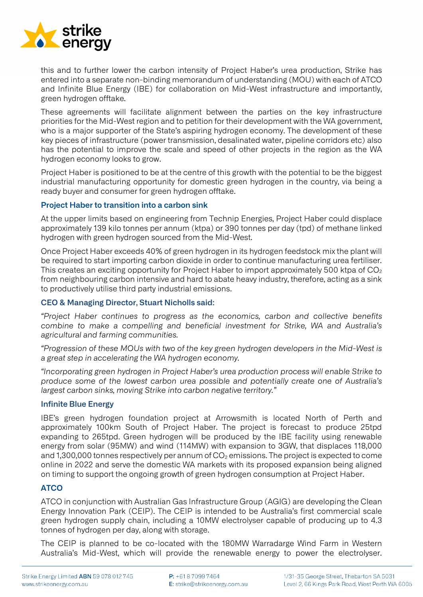

this and to further lower the carbon intensity of Project Haber's urea production, Strike has entered into a separate non-binding memorandum of understanding (MOU) with each of ATCO and Infinite Blue Energy (IBE) for collaboration on Mid-West infrastructure and importantly, green hydrogen offtake.

These agreements will facilitate alignment between the parties on the key infrastructure priorities for the Mid-West region and to petition for their development with the WA government, who is a major supporter of the State's aspiring hydrogen economy. The development of these key pieces of infrastructure (power transmission, desalinated water, pipeline corridors etc) also has the potential to improve the scale and speed of other projects in the region as the WA hydrogen economy looks to grow.

Project Haber is positioned to be at the centre of this growth with the potential to be the biggest industrial manufacturing opportunity for domestic green hydrogen in the country, via being a ready buyer and consumer for green hydrogen offtake.

# **Project Haber to transition into a carbon sink**

At the upper limits based on engineering from Technip Energies, Project Haber could displace approximately 139 kilo tonnes per annum (ktpa) or 390 tonnes per day (tpd) of methane linked hydrogen with green hydrogen sourced from the Mid-West.

Once Project Haber exceeds 40% of green hydrogen in its hydrogen feedstock mix the plant will be required to start importing carbon dioxide in order to continue manufacturing urea fertiliser. This creates an exciting opportunity for Project Haber to import approximately 500 ktpa of  $CO<sub>2</sub>$ from neighbouring carbon intensive and hard to abate heavy industry, therefore, acting as a sink to productively utilise third party industrial emissions.

# **CEO & Managing Director, Stuart Nicholls said:**

*"Project Haber continues to progress as the economics, carbon and collective benefits combine to make a compelling and beneficial investment for Strike, WA and Australia's agricultural and farming communities.* 

*"Progression of these MOUs with two of the key green hydrogen developers in the Mid-West is a great step in accelerating the WA hydrogen economy.* 

*"Incorporating green hydrogen in Project Haber's urea production process will enable Strike to produce some of the lowest carbon urea possible and potentially create one of Australia's largest carbon sinks, moving Strike into carbon negative territory."*

# **Infinite Blue Energy**

IBE's green hydrogen foundation project at Arrowsmith is located North of Perth and approximately 100km South of Project Haber. The project is forecast to produce 25tpd expanding to 265tpd. Green hydrogen will be produced by the IBE facility using renewable energy from solar (95MW) and wind (114MW) with expansion to 3GW, that displaces 118,000 and 1,300,000 tonnes respectively per annum of  $CO<sub>2</sub>$  emissions. The project is expected to come online in 2022 and serve the domestic WA markets with its proposed expansion being aligned on timing to support the ongoing growth of green hydrogen consumption at Project Haber.

# **ATCO**

ATCO in conjunction with Australian Gas Infrastructure Group (AGIG) are developing the Clean Energy Innovation Park (CEIP). The CEIP is intended to be Australia's first commercial scale green hydrogen supply chain, including a 10MW electrolyser capable of producing up to 4.3 tonnes of hydrogen per day, along with storage.

The CEIP is planned to be co-located with the 180MW Warradarge Wind Farm in Western Australia's Mid-West, which will provide the renewable energy to power the electrolyser.